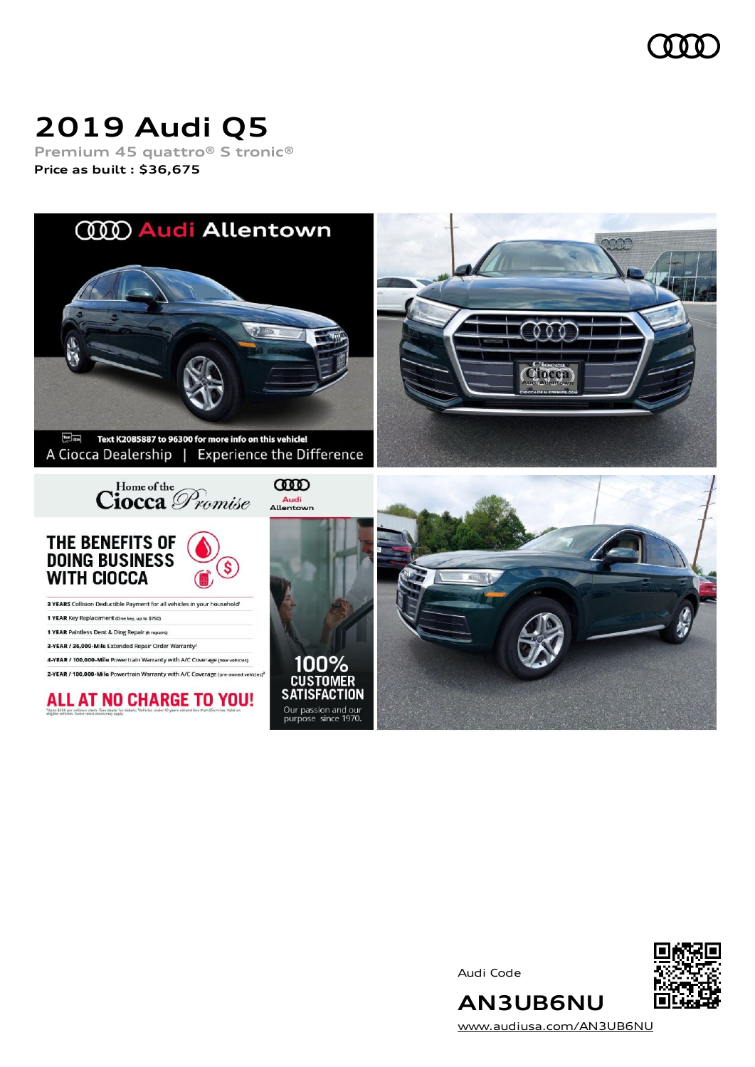

# **2019 Audi Q5**

**Premium 45 quattro® S tronic® Price as built [:](#page-10-0) \$36,675**



Audi Code



[www.audiusa.com/AN3UB6NU](https://www.audiusa.com/AN3UB6NU)

**AN3UB6NU**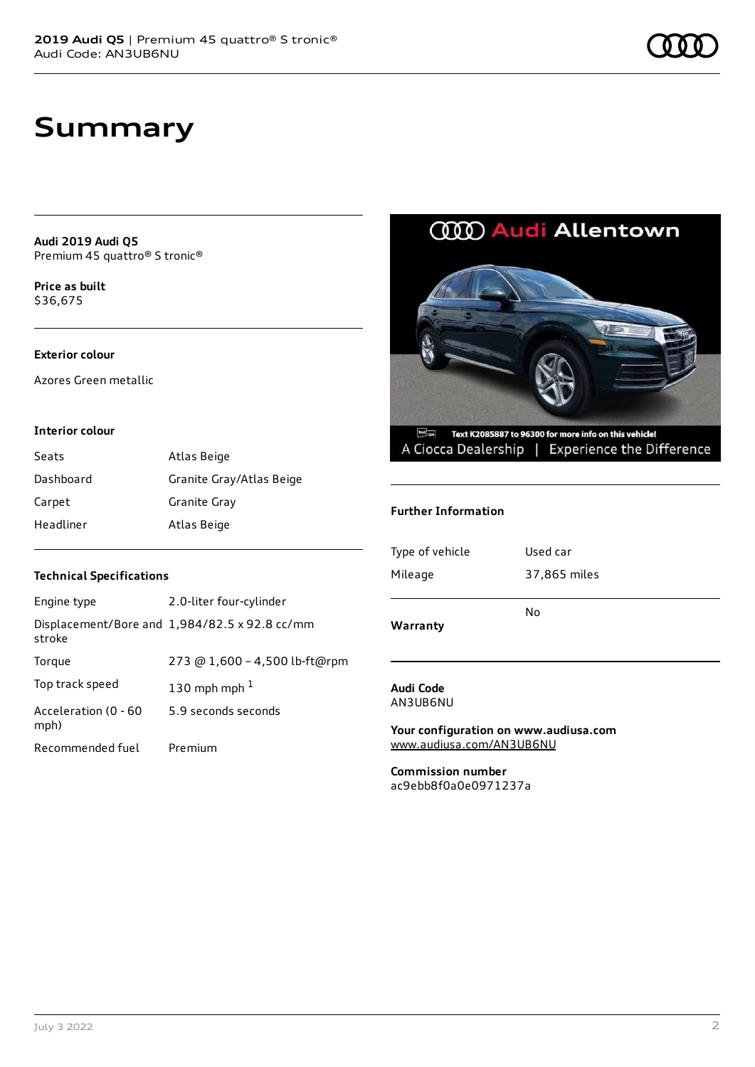**Audi 2019 Audi Q5** Premium 45 quattro® S tronic®

**Price as buil[t](#page-10-0)** \$36,675

#### **Exterior colour**

Azores Green metallic

#### **Interior colour**

| Seats     | Atlas Beige              |
|-----------|--------------------------|
| Dashboard | Granite Gray/Atlas Beige |
| Carpet    | Granite Gray             |
| Headliner | Atlas Beige              |

#### **Technical Specifications**

| Engine type                  | 2.0-liter four-cylinder                       |
|------------------------------|-----------------------------------------------|
| stroke                       | Displacement/Bore and 1,984/82.5 x 92.8 cc/mm |
| Torque                       | 273 @ 1,600 - 4,500 lb-ft@rpm                 |
| Top track speed              | 130 mph mph $1$                               |
| Acceleration (0 - 60<br>mph) | 5.9 seconds seconds                           |
| Recommended fuel             | Premium                                       |

### **CCCO Audi Allentown**



#### **Further Information**

| Warranty        |              |
|-----------------|--------------|
|                 | No           |
| Mileage         | 37,865 miles |
| Type of vehicle | Used car     |
|                 |              |

#### **Audi Code** AN3UB6NU

**Your configuration on www.audiusa.com** [www.audiusa.com/AN3UB6NU](https://www.audiusa.com/AN3UB6NU)

**Commission number** ac9ebb8f0a0e0971237a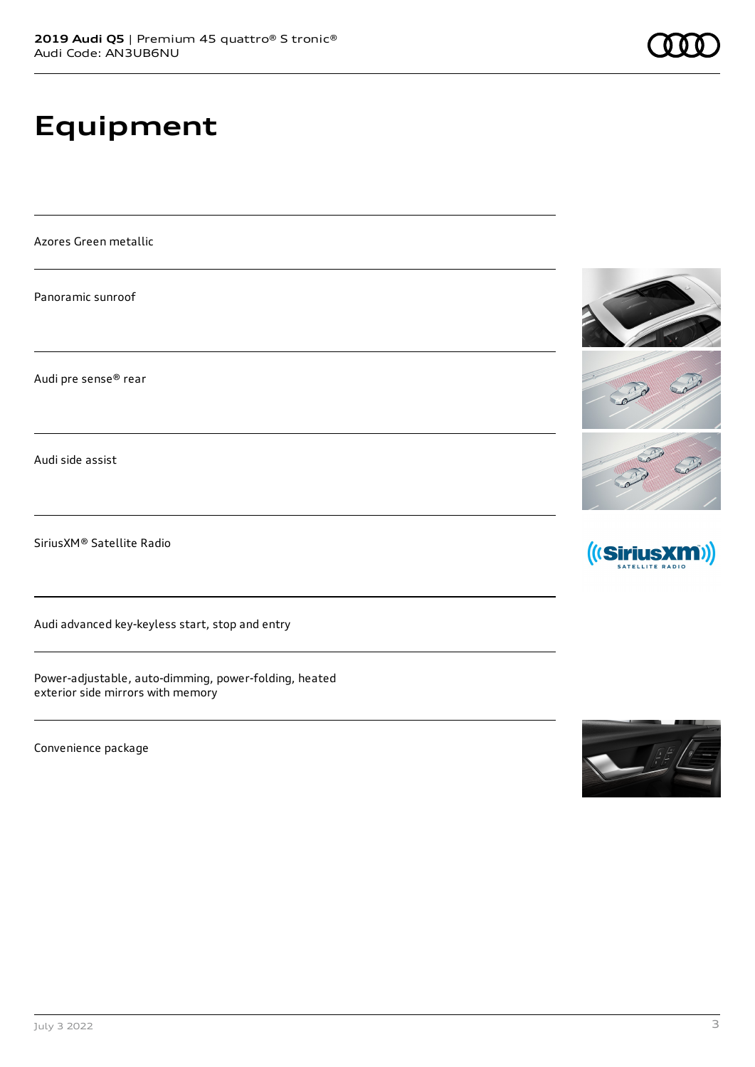# **Equipment**

Azores Green metallic

Panoramic sunroof

Audi pre sense® rear

Audi side assist

SiriusXM® Satellite Radio

Audi advanced key-keyless start, stop and entry

Power-adjustable, auto-dimming, power-folding, heated exterior side mirrors with memory

Convenience package







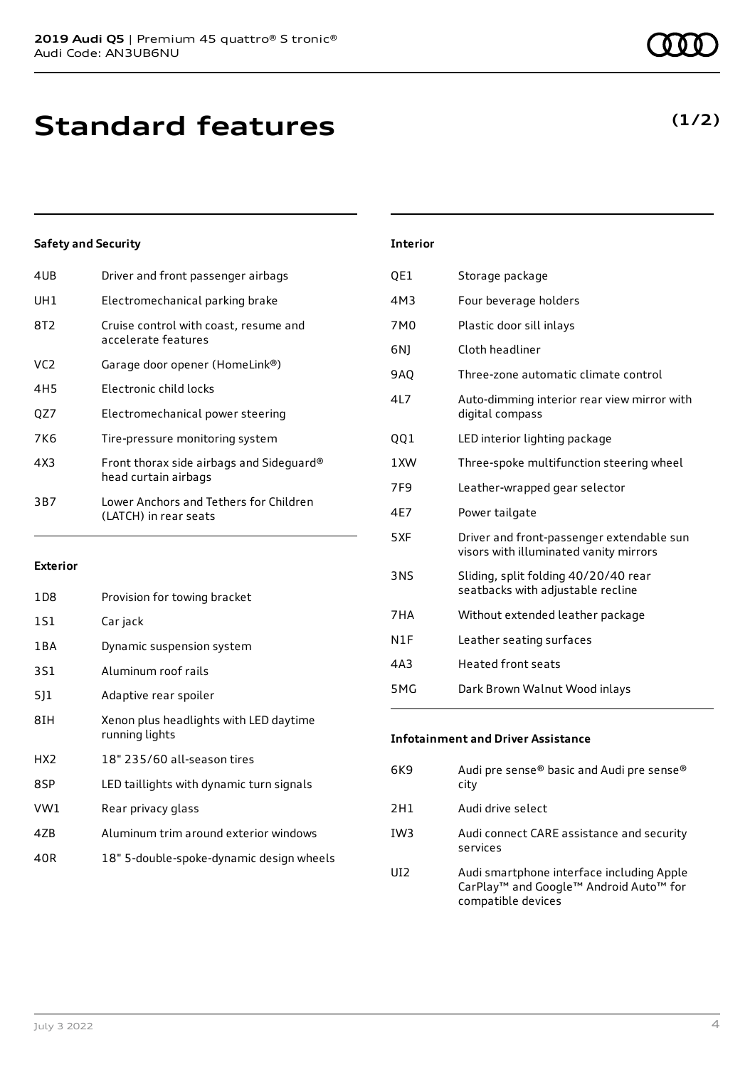| 4UB | Driver and front passenger airbags                               |
|-----|------------------------------------------------------------------|
| UH1 | Electromechanical parking brake                                  |
| 8T2 | Cruise control with coast, resume and<br>accelerate features     |
| VC2 | Garage door opener (HomeLink®)                                   |
| 4H5 | Electronic child locks                                           |
| OZ7 | Electromechanical power steering                                 |
| 7K6 | Tire-pressure monitoring system                                  |
| 4X3 | Front thorax side airbags and Sideguard®<br>head curtain airbags |
| 3B7 | Lower Anchors and Tethers for Children<br>(LATCH) in rear seats  |
|     |                                                                  |

#### **Exterior**

| 1D8             | Provision for towing bracket                             |
|-----------------|----------------------------------------------------------|
| 1S1             | Car jack                                                 |
| 1 B A           | Dynamic suspension system                                |
| 3S1             | Aluminum roof rails                                      |
| 511             | Adaptive rear spoiler                                    |
| 8IH             | Xenon plus headlights with LED daytime<br>running lights |
| HX <sub>2</sub> | 18" 235/60 all-season tires                              |
| 8SP             | LED taillights with dynamic turn signals                 |
| VW1             | Rear privacy glass                                       |
| 4ZB             | Aluminum trim around exterior windows                    |
| 40R             | 18" 5-double-spoke-dynamic design wheels                 |

| <b>Interior</b> |                                                                                     |
|-----------------|-------------------------------------------------------------------------------------|
| QE1             | Storage package                                                                     |
| 4M3             | Four beverage holders                                                               |
| 7M <sub>0</sub> | Plastic door sill inlays                                                            |
| 6N)             | Cloth headliner                                                                     |
| <b>9AO</b>      | Three-zone automatic climate control                                                |
| 4L7             | Auto-dimming interior rear view mirror with<br>digital compass                      |
| QQ1             | LED interior lighting package                                                       |
| 1XW             | Three-spoke multifunction steering wheel                                            |
| 7F9             | Leather-wrapped gear selector                                                       |
| 4E7             | Power tailgate                                                                      |
| 5XF             | Driver and front-passenger extendable sun<br>visors with illuminated vanity mirrors |
| 3NS             | Sliding, split folding 40/20/40 rear<br>seatbacks with adjustable recline           |
| 7HA             | Without extended leather package                                                    |
| N1F             | Leather seating surfaces                                                            |
| 4A3             | <b>Heated front seats</b>                                                           |
| 5MG             | Dark Brown Walnut Wood inlays                                                       |

| <b>Infotainment and Driver Assistance</b> |                                                   |  |
|-------------------------------------------|---------------------------------------------------|--|
| 6K9                                       | Audi pre sense® basic and Audi pre sense®<br>city |  |
| 2H1                                       | Audi drive select                                 |  |

- IW3 Audi connect CARE assistance and security services
- UI2 Audi smartphone interface including Apple CarPlay™ and Google™ Android Auto™ for compatible devices

### **(1/2)**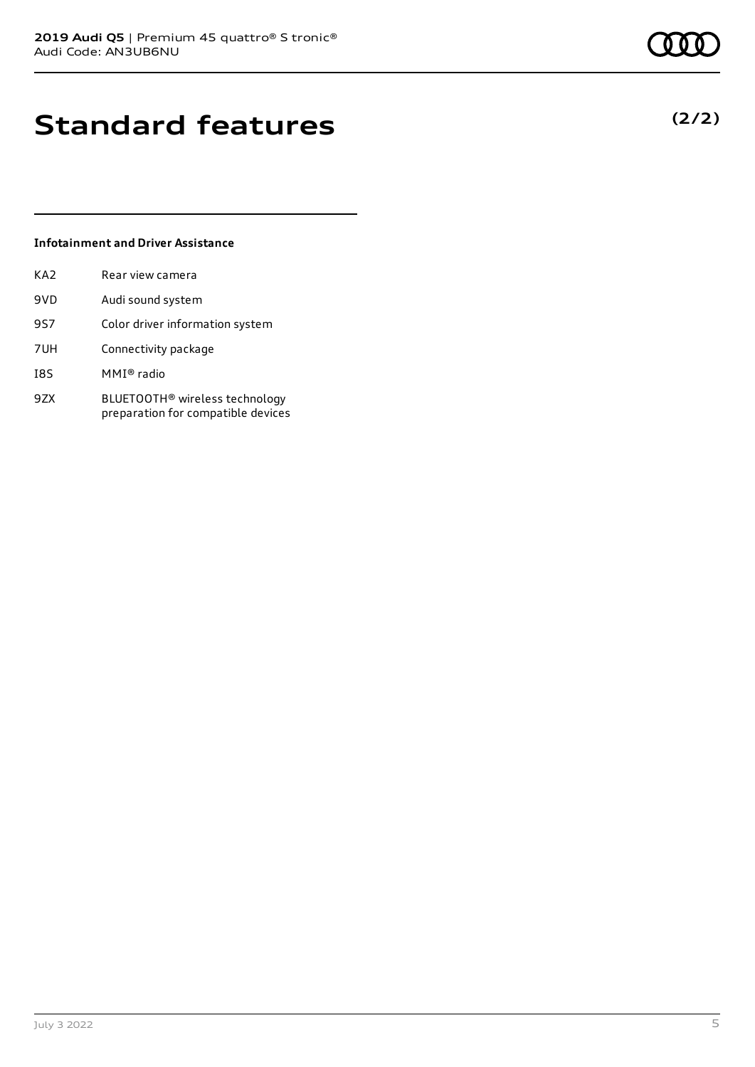### **Standard features**

### **Infotainment and Driver Assistance**

| KA2 | Rear view camera                                                                 |
|-----|----------------------------------------------------------------------------------|
| 9VD | Audi sound system                                                                |
| 9S7 | Color driver information system                                                  |
| 7UH | Connectivity package                                                             |
| I8S | MMI® radio                                                                       |
| 9ZX | BLUETOOTH <sup>®</sup> wireless technology<br>preparation for compatible devices |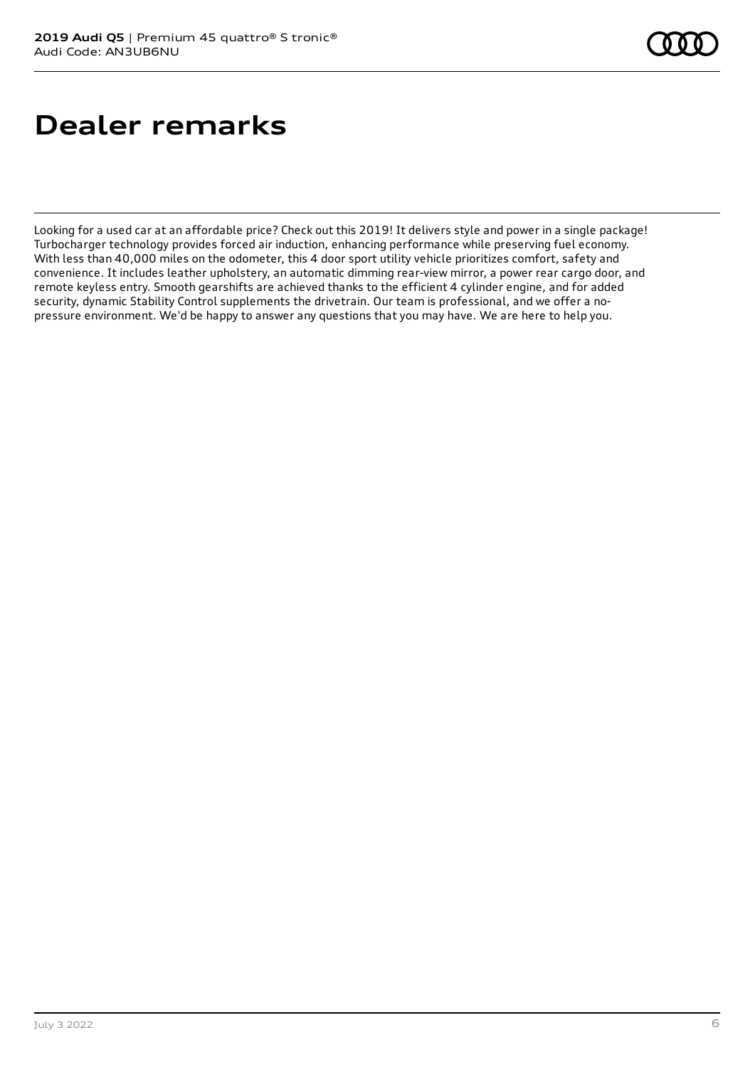## **Dealer remarks**

Looking for a used car at an affordable price? Check out this 2019! It delivers style and power in a single package! Turbocharger technology provides forced air induction, enhancing performance while preserving fuel economy. With less than 40,000 miles on the odometer, this 4 door sport utility vehicle prioritizes comfort, safety and convenience. It includes leather upholstery, an automatic dimming rear-view mirror, a power rear cargo door, and remote keyless entry. Smooth gearshifts are achieved thanks to the efficient 4 cylinder engine, and for added security, dynamic Stability Control supplements the drivetrain. Our team is professional, and we offer a nopressure environment. We'd be happy to answer any questions that you may have. We are here to help you.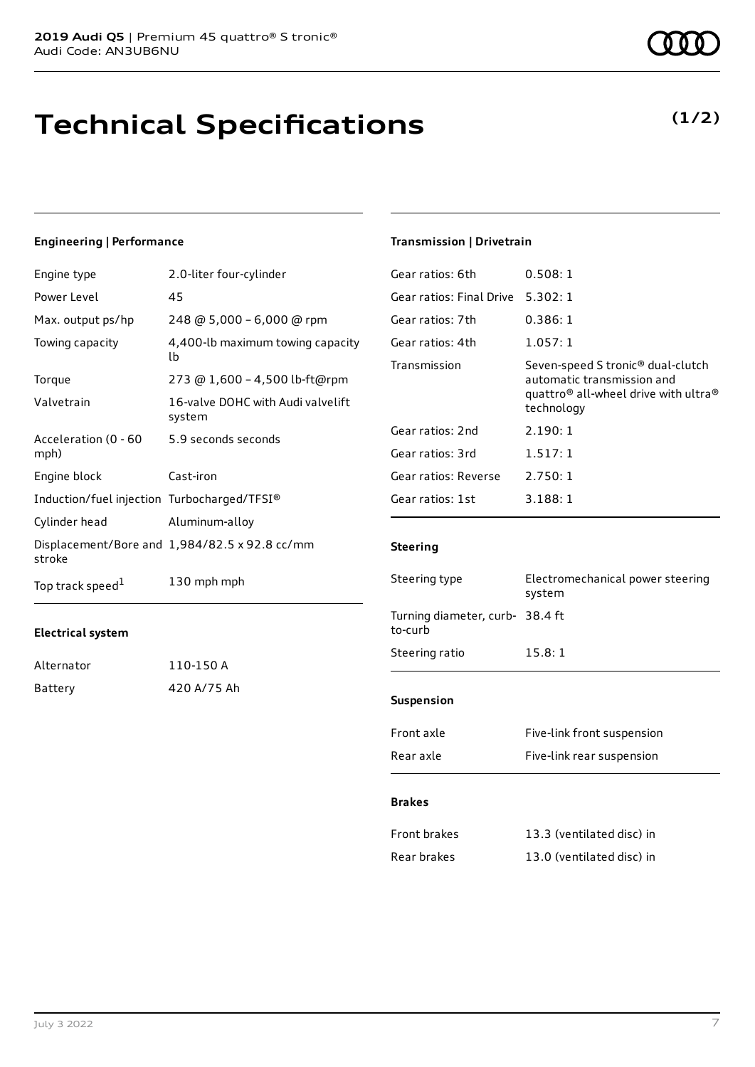### **Technical Specifications**

#### **Engineering | Performance**

| Engine type                                 | 2.0-liter four-cylinder                       |
|---------------------------------------------|-----------------------------------------------|
| Power Level                                 | 45                                            |
| Max. output ps/hp                           | 248 @ 5,000 - 6,000 @ rpm                     |
| Towing capacity                             | 4,400-lb maximum towing capacity<br>lb        |
| Torque                                      | 273 @ 1,600 - 4,500 lb-ft@rpm                 |
| Valvetrain                                  | 16-valve DOHC with Audi valvelift<br>system   |
| Acceleration (0 - 60<br>mph)                | 5.9 seconds seconds                           |
| Engine block                                | Cast-iron                                     |
| Induction/fuel injection Turbocharged/TFSI® |                                               |
| Cylinder head                               | Aluminum-alloy                                |
| stroke                                      | Displacement/Bore and 1,984/82.5 x 92.8 cc/mm |
| Top track speed <sup>1</sup>                | 130 mph mph                                   |

#### **Electrical system**

| Alternator | 110-150 A   |
|------------|-------------|
| Battery    | 420 A/75 Ah |

### **Transmission | Drivetrain**

| Gear ratios: 6th         | 0.508:1                                                                                                                                                   |
|--------------------------|-----------------------------------------------------------------------------------------------------------------------------------------------------------|
| Gear ratios: Final Drive | 5.302:1                                                                                                                                                   |
| Gear ratios: 7th         | 0.386:1                                                                                                                                                   |
| Gear ratios: 4th         | 1.057:1                                                                                                                                                   |
| Transmission             | Seven-speed S tronic <sup>®</sup> dual-clutch<br>automatic transmission and<br>quattro <sup>®</sup> all-wheel drive with ultra <sup>®</sup><br>technology |
| Gear ratios: 2nd         | 2.190:1                                                                                                                                                   |
| Gear ratios: 3rd         | 1.517:1                                                                                                                                                   |
| Gear ratios: Reverse     | 2.750:1                                                                                                                                                   |
| Gear ratios: 1st         | 3.188:1                                                                                                                                                   |
|                          |                                                                                                                                                           |

#### **Steering**

| Steering type                              | Electromechanical power steering<br>system |
|--------------------------------------------|--------------------------------------------|
| Turning diameter, curb- 38.4 ft<br>to-curb |                                            |
| Steering ratio                             | 15.8:1                                     |
|                                            |                                            |
| <b>Suspension</b>                          |                                            |
| Front axle                                 | Five-link front suspension                 |
| Rear axle                                  | Five-link rear suspension                  |

#### **Brakes**

| Front brakes | 13.3 (ventilated disc) in |
|--------------|---------------------------|
| Rear brakes  | 13.0 (ventilated disc) in |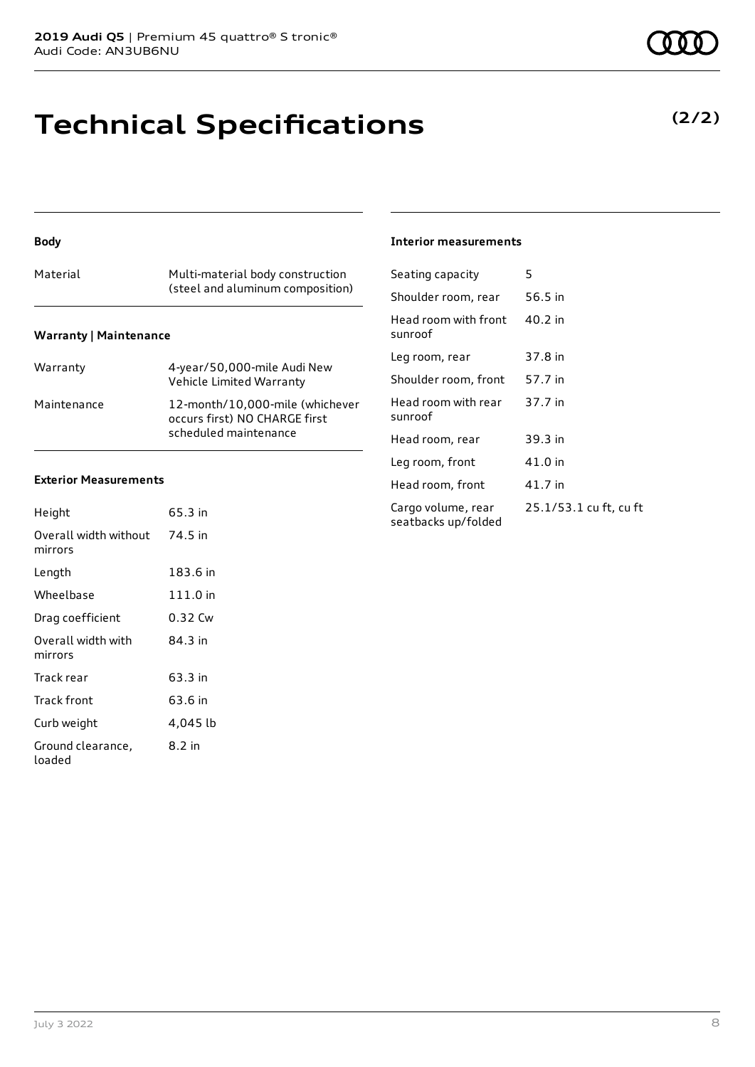### **Technical Specifications**

#### **Body**

| Material                      | Multi-material body construction<br>(steel and aluminum composition) |
|-------------------------------|----------------------------------------------------------------------|
| <b>Warranty   Maintenance</b> |                                                                      |

| Warranty    | 4-year/50,000-mile Audi New<br>Vehicle Limited Warranty                                   |
|-------------|-------------------------------------------------------------------------------------------|
| Maintenance | 12-month/10,000-mile (whichever<br>occurs first) NO CHARGE first<br>scheduled maintenance |

#### **Exterior Measurements**

| Height                           | 65.3 in  |
|----------------------------------|----------|
| Overall width without<br>mirrors | 74.5 in  |
| Length                           | 183.6 in |
| Wheelbase                        | 111.0 in |
| Drag coefficient                 | 0.32 Cw  |
| Overall width with<br>mirrors    | 84.3 in  |
| Track rear                       | 63.3 in  |
| Track front                      | 63.6 in  |
| Curb weight                      | 4,045 lb |
| Ground clearance,<br>loaded      | 8.2 in   |

#### **Interior measurements**

| Seating capacity                          | 5                      |
|-------------------------------------------|------------------------|
| Shoulder room, rear                       | 56.5 in                |
| Head room with front<br>sunroof           | 40.2 in                |
| Leg room, rear                            | 37.8 in                |
| Shoulder room, front                      | 57.7 in                |
| Head room with rear<br>sunroof            | 37.7 in                |
| Head room, rear                           | 39.3 in                |
| Leg room, front                           | 41.0 in                |
| Head room, front                          | 41.7 in                |
| Cargo volume, rear<br>seatbacks up/folded | 25.1/53.1 cu ft, cu ft |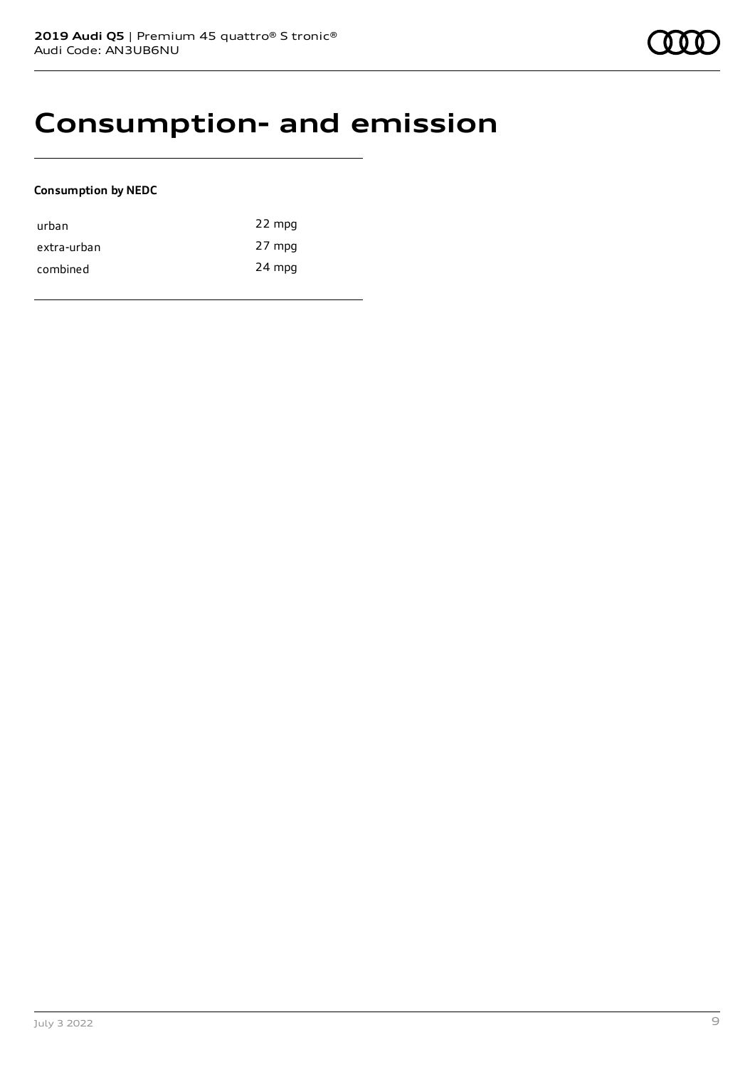### **Consumption- and emission**

#### **Consumption by NEDC**

| urban       | 22 mpg |
|-------------|--------|
| extra-urban | 27 mpg |
| combined    | 24 mpg |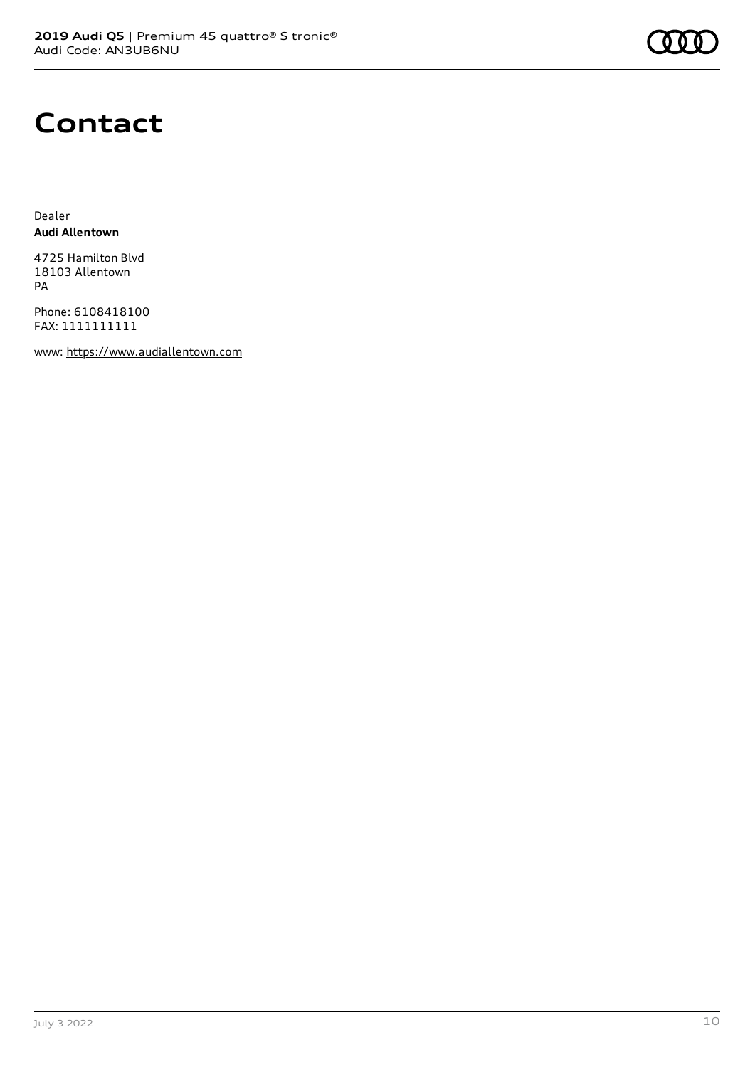

### **Contact**

Dealer **Audi Allentown**

4725 Hamilton Blvd 18103 Allentown PA

Phone: 6108418100 FAX: 1111111111

www: [https://www.audiallentown.com](https://www.audiallentown.com/)